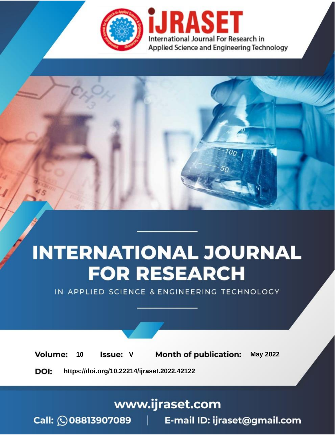

# **INTERNATIONAL JOURNAL FOR RESEARCH**

IN APPLIED SCIENCE & ENGINEERING TECHNOLOGY

**Month of publication: Volume: May 2022** 10 **Issue: V** 

DOI: https://doi.org/10.22214/ijraset.2022.42122

www.ijraset.com

Call: 008813907089 | E-mail ID: ijraset@gmail.com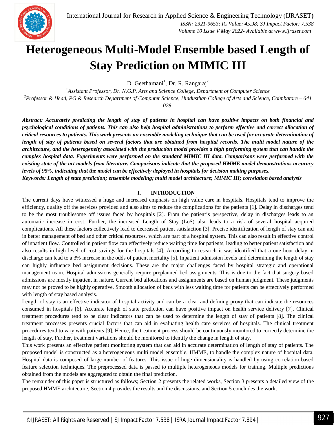### **Heterogeneous Multi-Model Ensemble based Length of Stay Prediction on MIMIC III**

D. Geethamani<sup>1</sup>, Dr. R. Rangaraj<sup>2</sup>

*<sup>1</sup>Assistant Professor, Dr. N.G.P. Arts and Science College, Department of Computer Science <sup>2</sup>Professor & Head, PG & Research Department of Computer Science, Hindusthan College of Arts and Science, Coimbatore – 641 028*.

*Abstract: Accurately predicting the length of stay of patients in hospital can have positive impacts on both financial and psychological conditions of patients. This can also help hospital administrations to perform effective and correct allocation of critical resources to patients. This work presents an ensemble modeling technique that can be used for accurate determination of length of stay of patients based on several factors that are obtained from hospital records. The multi model nature of the architecture, and the heterogeneity associated with the production model provides a high performing system that can handle the complex hospital data. Experiments were performed on the standard MIMIC III data. Comparisons were performed with the existing state of the art models from literature. Comparisons indicate that the proposed HMME model demonstrations accuracy levels of 95%, indicating that the model can be effectively deployed in hospitals for decision making purposes. Keywords: Length of state prediction; ensemble modeling; multi model architecture; MIMIC III; correlation based analysis* 

#### **I. INTRODUCTION**

The current days have witnessed a huge and increased emphasis on high value care in hospitals. Hospitals tend to improve the efficiency, quality off the services provided and also aims to reduce the complications for the patients [1]. Delay in discharges tend to be the most troublesome off issues faced by hospitals [2]. From the patient's perspective, delay in discharges leads to an automatic increase in cost. Further, the increased Length of Stay (LoS) also leads to a risk of several hospital acquired complications. All these factors collectively lead to decreased patient satisfaction [3]. Precise identification of length of stay can aid in better management of bed and other critical resources, which are part of a hospital system. This can also result in effective control of inpatient flow. Controlled in patient flow can effectively reduce waiting time for patients, leading to better patient satisfaction and also results in high level of cost savings for the hospitals [4]. According to research it was identified that a one hour delay in discharge can lead to a 3% increase in the odds of patient mortality [5]. Inpatient admission levels and determining the length of stay can highly influence bed assignment decisions. These are the major challenges faced by hospital strategic and operational management team. Hospital admissions generally require preplanned bed assignments. This is due to the fact that surgery based admissions are mostly inpatient in nature. Current bed allocations and assignments are based on human judgment. These judgments may not be proved to be highly operative. Smooth allocation of beds with less waiting time for patients can be effectively performed with length of stay based analysis.

Length of stay is an effective indicator of hospital activity and can be a clear and defining proxy that can indicate the resources consumed in hospitals [6]. Accurate length of state prediction can have positive impact on health service delivery [7]. Clinical treatment procedures tend to be clear indicators that can be used to determine the length of stay of patients [8]. The clinical treatment processes presents crucial factors that can aid in evaluating health care services of hospitals. The clinical treatment procedures tend to vary with patients [9]. Hence, the treatment process should be continuously monitored to correctly determine the length of stay. Further, treatment variations should be monitored to identify the change in length of stay.

This work presents an effective patient monitoring system that can aid in accurate determination of length of stay of patients. The proposed model is constructed as a heterogeneous multi model ensemble, HMME, to handle the complex nature of hospital data. Hospital data is composed of large number of features. This issue of huge dimensionality is handled by using correlation based feature selection techniques. The preprocessed data is passed to multiple heterogeneous models for training. Multiple predictions obtained from the models are aggregated to obtain the final prediction.

The remainder of this paper is structured as follows; Section 2 presents the related works, Section 3 presents a detailed view of the proposed HMME architecture, Section 4 provides the results and the discussions, and Section 5 concludes the work.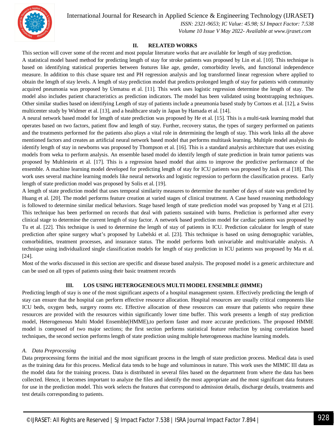

 *ISSN: 2321-9653; IC Value: 45.98; SJ Impact Factor: 7.538 Volume 10 Issue V May 2022- Available at www.ijraset.com*

#### **II. RELATED WORKS**

This section will cover some of the recent and most popular literature works that are available for length of stay prediction.

A statistical model based method for predicting length of stay for stroke patients was proposed by Lin et al. [10]. This technique is based on identifying statistical properties between features like age, gender, comorbidity levels, and functional independence measure. In addition to this chase square test and PH regression analysis and log transformed linear regression where applied to obtain the length of stay levels. A length of stay prediction model that predicts prolonged length of stay for patients with community acquired pneumonia was proposed by Uematsu et al. [11]. This work uses logistic regression determine the length of stay. The model also includes patient characteristics as prediction indicators. The model has been validated using bootstrapping techniques. Other similar studies based on identifying Length of stay of patients include a pneumonia based study by Cortoos et al. [12], a Swiss multicenter study by Widmer et al. [13], and a healthcare study in Japan by Hamada et al. [14].

A neural network based model for length of state prediction was proposed by He et al. [15]. This is a multi-task learning model that operates based on two factors, patient flow and length of stay. Further, recovery status, the types of surgery performed on patients and the treatments performed for the patients also plays a vital role in determining the length of stay. This work links all the above mentioned factors and creates an artificial neural network based model that performs multitask learning. Multiple model analysis do identify length of stay in newborns was proposed by Thompson et al. [16]. This is a standard analysis architecture that uses existing models from weka to perform analysis. An ensemble based model do identify length of state prediction in brain tumor patients was proposed by Muhlestein et al. [17]. This is a regression based model that aims to improve the predictive performance of the ensemble. A machine learning model developed for predicting length of stay for ICU patients was proposed by Jauk et al [18]. This work uses several machine learning models like neural networks and logistic regression to perform the classification process. Early length of state prediction model was proposed by Solis et al. [19].

A length of state prediction model that uses temporal similarity measures to determine the number of days of state was predicted by Huang et al. [20]. The model performs feature creation at varied stages of clinical treatment. A Case based reasoning methodology is followed to determine similar medical behaviors. Stage based length of state prediction model was proposed by Yang et al [21]. This technique has been performed on records that deal with patients sustained with burns. Prediction is performed after every clinical stage to determine the current length of stay factor. A network based prediction model for cardiac patients was proposed by Tu et al. [22]. This technique is used to determine the length of stay of patients in ICU. Prediction calculator for length of state prediction after spine surgery what's proposed by Lubelski et al. [23]. This technique is based on using demographic variables, comorbidities, treatment processes, and insurance status. The model performs both univariable and multivariable analysis. A technique using individualized single classification models for length of stay prediction in ICU patients was proposed by Ma et al. [24].

Most of the works discussed in this section are specific and disease based analysis. The proposed model is a generic architecture and can be used on all types of patients using their basic treatment records

#### **III. LOS USING HETEROGENEOUS MULTI MODEL ENSEMBLE (HMME)**

Predicting length of stay is one of the most significant aspects of a hospital management system. Effectively predicting the length of stay can ensure that the hospital can perform effective resource allocation. Hospital resources are usually critical components like ICU beds, oxygen beds, surgery rooms etc. Effective allocation of these resources can ensure that patients who require these resources are provided with the resources within significantly lower time buffer. This work presents a length of stay prediction model, Heterogeneous Multi Model Ensemble(HMME),to perform faster and more accurate predictions. The proposed HMME model is composed of two major sections; the first section performs statistical feature reduction by using correlation based techniques, the second section performs length of state prediction using multiple heterogeneous machine learning models.

#### *A. Data Preprocessing*

Data preprocessing forms the initial and the most significant process in the length of state prediction process. Medical data is used as the training data for this process. Medical data tends to be huge and voluminous in nature. This work uses the MIMIC III data as the model data for the training process. Data is distributed in several files based on the department from where the data has been collected. Hence, it becomes important to analyze the files and identify the most appropriate and the most significant data features for use in the prediction model. This work selects the features that correspond to admission details, discharge details, treatments and test details corresponding to patients.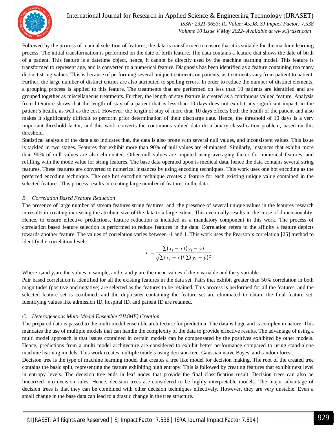

 *ISSN: 2321-9653; IC Value: 45.98; SJ Impact Factor: 7.538 Volume 10 Issue V May 2022- Available at www.ijraset.com*

Followed by the process of manual selection of features, the data is transformed to ensure that it is suitable for the machine learning process. The initial transformation is performed on the date of birth feature. The data contains a feature that shows the date of birth of a patient. This feature is a datetime object, hence, it cannot be directly used by the machine learning model. This feature is transformed to represent age, and is converted to a numerical feature. Diagnosis has been identified as a feature containing too many distinct string values. This is because of performing several unique treatments on patients, as treatments vary from patient to patient. Further, the large number of distinct entries are also attributed to spelling errors. In order to reduce the number of distinct elements, a grouping process is applied to this feature. The treatments that are performed on less than 10 patients are identified and are grouped together as miscellaneous treatments. Further, the length of stay feature is created as a continuous valued feature. Analysis from literature shows that the length of stay of a patient that is less than 10 days does not exhibit any significant impact on the patient's health, as well as the cost. However, the length of stay of more than 10 days effects both the health of the patient and also makes it significantly difficult to perform prior determination of their discharge date. Hence, the threshold of 10 days is a very important threshold factor, and this work converts the continuous valued data do a binary classification problem, based on this threshold.

Statistical analysis of the data also indicates that, the data is also prone with several null values, and inconsistent values. This issue is tackled in two stages. Features that exhibit more than 90% of null values are eliminated. Similarly, instances that exhibit more than 90% of null values are also eliminated. Other null values are imputed using averaging factor for numerical features, and refilling with the mode value for string features. The base data operated upon is medical data, hence the data contains several string features. These features are converted to numerical instances by using encoding techniques. This work uses one hot encoding as the preferred encoding technique. The one hot encoding technique creates a feature for each existing unique value contained in the selected feature. This process results in creating large number of features in the data.

#### *B. Correlation Based Feature Reduction*

The presence of large number of stream features string features, and, the presence of several unique values in the features research in results in creating increasing the attribute size of the data to a large extent. This eventually results in the curse of dimensionality. Hence, to ensure effective predictions, feature reduction is included as a mandatory component in this work. The process of correlation based feature selection is performed to reduce features in the data. Correlation refers to the affinity a feature depicts towards another feature. The values of correlation varies between -1 and 1. This work uses the Pearson's correlation [25] method to identify the correlation levels.

$$
c = \frac{\sum (x_i - \bar{x})(y_i - \bar{y})}{\sqrt{\sum (x_i - \bar{x})^2 \sum (y_i - \bar{y})^2}}
$$

Where x<sub>i</sub>and y<sub>i</sub> are the values in sample, and  $\bar{x}$  and  $\bar{y}$  are the mean values if the x variable and the y variable.

Pair based correlation is identified for all the existing features in the data set. Pairs that exhibit greater than 50% correlation in both magnitudes (positive and negative) are selected as the features to be retained. This process is performed for all the features, and the selected feature set is combined, and the duplicates containing the feature set are eliminated to obtain the final feature set. Identifying values like admission ID, hospital ID, and patient ID are retained.

#### *C. Heterogeneous Multi-Model Ensemble (HMME) Creation*

The prepared data is passed to the multi model ensemble architecture for prediction. The data is huge and is complex in nature. This mandates the use of multiple models that can handle the complexity of the data to provide effective results. The advantage of using a multi model approach is that issues contained in certain models can be compensated by the positives exhibited by other models. Hence, predictions from a multi model architecture are considered to exhibit better performance compared to using stand-alone machine learning models. This work creates multiple models using decision tree, Gaussian naïve Bayes, and random forest.

Decision tree is the type of machine learning model that creates a tree like model for decision making. The root of the created tree contains the basic split, representing the feature exhibiting high entropy. This is followed by creating features that exhibit next level in entropy levels. The decision tree ends in leaf nodes that provide the final classification result. Decision trees can also be linearized into decision rules. Hence, decision trees are considered to be highly interpretable models. The major advantage of decision trees is that they can be combined with other decision techniques effectively. However, they are very unstable. Even a small change in the base data can lead to a drastic change in the tree structure.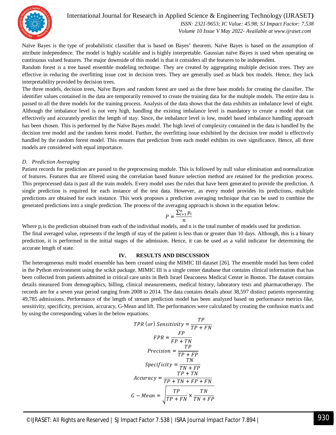

 *ISSN: 2321-9653; IC Value: 45.98; SJ Impact Factor: 7.538 Volume 10 Issue V May 2022- Available at www.ijraset.com*

Naïve Bayes is the type of probabilistic classifier that is based on Bayes' theorem. Naïve Bayes is based on the assumption of attribute independence. The model is highly scalable and is highly interpretable. Gaussian naïve Bayes is used when operating on continuous valued features. The major downside of this model is that it considers all the features to be independent.

Random forest is a tree based ensemble modeling technique. They are created by aggregating multiple decision trees. They are effective in reducing the overfitting issue cost in decision trees. They are generally used as black box models. Hence, they lack interpretability provided by decision trees.

The three models, decision trees, Naïve Bayes and random forest are used as the three base models for creating the classifier. The identifier values contained in the data are temporarily removed to create the training data for the multiple models. The entire data is passed to all the three models for the training process. Analysis of the data shows that the data exhibits an imbalance level of eight. Although the imbalance level is not very high, handling the existing imbalance level is mandatory to create a model that can effectively and accurately predict the length of stay. Since, the imbalance level is low, model based imbalance handling approach has been chosen. This is performed by the Naïve Bayes model. The high level of complexity contained in the data is handled by the decision tree model and the random forest model. Further, the overfitting issue exhibited by the decision tree model is effectively handled by the random forest model. This ensures that prediction from each model exhibits its own significance. Hence, all three models are considered with equal importance.

#### *D. Prediction Averaging*

Patient records for prediction are passed to the preprocessing module. This is followed by null value elimination and normalization of features. Features that are filtered using the correlation based feature selection method are retained for the prediction process. This preprocessed data is past all the train models. Every model uses the rules that have been generated to provide the prediction. A single prediction is required for each instance of the test data. However, as every model provides its predictions, multiple predictions are obtained for each instance. This work proposes a prediction averaging technique that can be used to combine the generated predictions into a single prediction. The process of the averaging approach is shown in the equation below.

$$
P = \frac{\sum_{i=1}^{n} p_i}{n}
$$

Where  $p_i$  is the prediction obtained from each of the individual models, and n is the total number of models used for prediction. The final averaged value, represents if the length of stay of the patient is less than or greater than 10 days. Although, this is a binary prediction, it is performed in the initial stages of the admission. Hence, it can be used as a valid indicator for determining the accurate length of state.

#### **IV. RESULTS AND DISCUSSION**

The heterogeneous multi model ensemble has been created using the MIMIC III dataset [26]. The ensemble model has been coded in the Python environment using the scikit package. MIMIC III is a single center database that contains clinical information that has been collected from patients admitted in critical care units in Beth Israel Deaconess Medical Center in Boston. The dataset contains details measured from demographics, billing, clinical measurements, medical history, laboratory tests and pharmacotherapy. The records are for a seven year period ranging from 2008 to 2014. The data contains details about 38,597 distinct patients representing 49,785 admissions. Performance of the length of stream prediction model has been analyzed based on performance metrics like, sensitivity, specificity, precision, accuracy, G-Mean and lift. The performances were calculated by creating the confusion matrix and by using the corresponding values in the below equations.

$$
TPR (or) Sensitivity = \frac{TP}{TP + FN}
$$
\n
$$
FPR = \frac{FP}{FP + TN}
$$
\n
$$
Precision = \frac{TP}{TP + FP}
$$
\n
$$
Specificity = \frac{TN}{TN + FP}
$$
\n
$$
Accuracy = \frac{TP + TN}{TP + TN + FP + FN}
$$
\n
$$
G - Mean = \sqrt{\frac{TP}{TP + FN} \times \frac{TN}{TN + FP}}
$$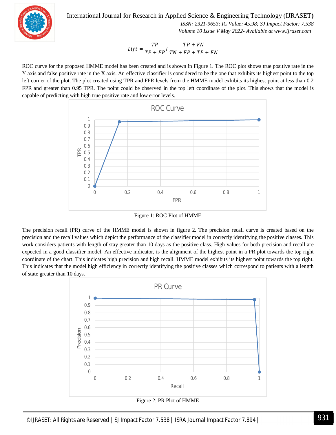

 *ISSN: 2321-9653; IC Value: 45.98; SJ Impact Factor: 7.538 Volume 10 Issue V May 2022- Available at www.ijraset.com*

$$
Lift = \frac{TP}{TP + FP} / \frac{TP + FN}{TN + FP + TP + FN}
$$

ROC curve for the proposed HMME model has been created and is shown in Figure 1. The ROC plot shows true positive rate in the Y axis and false positive rate in the X axis. An effective classifier is considered to be the one that exhibits its highest point to the top left corner of the plot. The plot created using TPR and FPR levels from the HMME model exhibits its highest point at less than 0.2 FPR and greater than 0.95 TPR. The point could be observed in the top left coordinate of the plot. This shows that the model is capable of predicting with high true positive rate and low error levels.



Figure 1: ROC Plot of HMME

The precision recall (PR) curve of the HMME model is shown in figure 2. The precision recall curve is created based on the precision and the recall values which depict the performance of the classifier model in correctly identifying the positive classes. This work considers patients with length of stay greater than 10 days as the positive class. High values for both precision and recall are expected in a good classifier model. An effective indicator, is the alignment of the highest point in a PR plot towards the top right coordinate of the chart. This indicates high precision and high recall. HMME model exhibits its highest point towards the top right. This indicates that the model high efficiency in correctly identifying the positive classes which correspond to patients with a length of state greater than 10 days.



Figure 2: PR Plot of HMME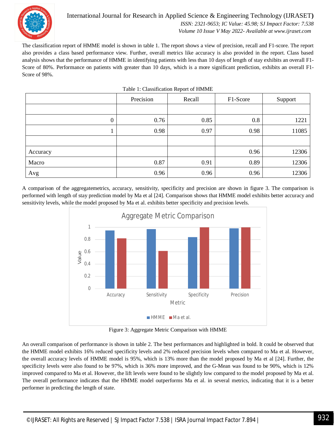

#### International Journal for Research in Applied Science & Engineering Technology (IJRASET**)**  *ISSN: 2321-9653; IC Value: 45.98; SJ Impact Factor: 7.538*

 *Volume 10 Issue V May 2022- Available at www.ijraset.com*

The classification report of HMME model is shown in table 1. The report shows a view of precision, recall and F1-score. The report also provides a class based performance view. Further, overall metrics like accuracy is also provided in the report. Class based analysis shows that the performance of HMME in identifying patients with less than 10 days of length of stay exhibits an overall F1- Score of 80%. Performance on patients with greater than 10 days, which is a more significant prediction, exhibits an overall F1- Score of 98%.

Table 1: Classification Report of HMME

|                  | Precision | Recall | F1-Score | Support |
|------------------|-----------|--------|----------|---------|
|                  |           |        |          |         |
| $\boldsymbol{0}$ | 0.76      | 0.85   | 0.8      | 1221    |
|                  | 0.98      | 0.97   | 0.98     | 11085   |
|                  |           |        |          |         |
| Accuracy         |           |        | 0.96     | 12306   |
| Macro            | 0.87      | 0.91   | 0.89     | 12306   |
| Avg              | 0.96      | 0.96   | 0.96     | 12306   |

A comparison of the aggregatemetrics, accuracy, sensitivity, specificity and precision are shown in figure 3. The comparison is performed with length of stay prediction model by Ma et al [24]. Comparison shows that HMME model exhibits better accuracy and sensitivity levels, while the model proposed by Ma et al. exhibits better specificity and precision levels.



Figure 3: Aggregate Metric Comparison with HMME

An overall comparison of performance is shown in table 2. The best performances and highlighted in bold. It could be observed that the HMME model exhibits 16% reduced specificity levels and 2% reduced precision levels when compared to Ma et al. However, the overall accuracy levels of HMME model is 95%, which is 13% more than the model proposed by Ma et al [24]. Further, the specificity levels were also found to be 97%, which is 36% more improved, and the G-Mean was found to be 90%, which is 12% improved compared to Ma et al. However, the lift levels were found to be slightly low compared to the model proposed by Ma et al. The overall performance indicates that the HMME model outperforms Ma et al. in several metrics, indicating that it is a better performer in predicting the length of state.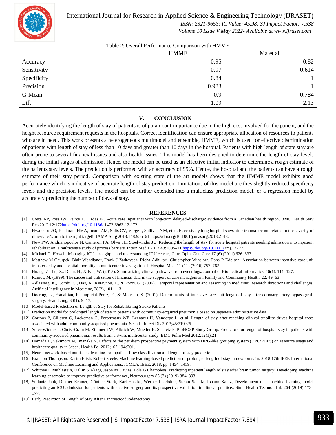

 *ISSN: 2321-9653; IC Value: 45.98; SJ Impact Factor: 7.538*

 *Volume 10 Issue V May 2022- Available at www.ijraset.com*

#### Table 2: Overall Performance Comparison with HMME

|             | <b>HMME</b> | Ma et al. |
|-------------|-------------|-----------|
| Accuracy    | 0.95        | 0.82      |
| Sensitivity | 0.97        | 0.614     |
| Specificity | 0.84        |           |
| Precision   | 0.983       |           |
| G-Mean      | 0.9         | 0.784     |
| Lift        | .09         | 2.13      |

#### **V. CONCLUSION**

Accurately identifying the length of stay of patients is of paramount importance due to the high cost involved for the patient, and the height resource requirement requests in the hospitals. Correct identification can ensure appropriate allocation of resources to patients who are in need. This work presents a heterogeneous multimodel and ensemble, HMME, which is used for effective discrimination of patients with length of stay of less than 10 days and greater than 10 days in the hospital. Patients with high length of state stay are often prone to several financial issues and also health issues. This model has been designed to determine the length of stay levels during the initial stages of admission. Hence, the model can be used as an effective initial indicator to determine a rough estimate of the patients stay levels. The prediction is performed with an accuracy of 95%. Hence, the hospital and the patients can have a rough estimate of their stay period. Comparison with existing state of the art models shows that the HMME model exhibits good performance which is indicative of accurate length of stay prediction. Limitations of this model are they slightly reduced specificity levels and the precision levels. The model can be further extended into a multiclass prediction model, or a regression model by accurately predicting the number of days of stay.

#### **REFERENCES**

- [1] Costa AP, Poss JW, Peirce T, Hirdes JP. Acute care inpatients with long-term delayed-discharge: evidence from a Canadian health region. BMC Health Serv Res 2012;12:172https://doi.org/10.1186/ 1472-6963-12-172.
- [2] Hwabejire JO, Kaafarani HMA, Imam AM, Solis CV, Verge J, Sullivan NM, et al. Excessively long hospital stays after trauma are not related to the severity of illness: let's aim to the right target!. JAMA Surg 2013;148:956–61 https://doi.org/10.1001/jamasurg.2013.2148.
- [3] New PW, Andrianopoulos N, Cameron PA, Olver JH, Stoelwinder JU. Reducing the length of stay for acute hospital patients needing admission into inpatient rehabilitation: a multicentre study of process barriers. Intern Med J 2013;43:1005–11 https://doi.org/10.1111/ imj.12227.
- [4] Michael D. Howell, Managing ICU throughput and understanding ICU census, Curr. Opin. Crit. Care 17 (6) (2011) 626–633.
- [5] Matthew M Churpek, Blair Wendlandt, Frank J Zadravecz, Richa Adhikari, Christopher Winslow, Dana P Edelson, Association between intensive care unit transfer delay and hospital mortality: a multicenter investigation, J. Hospital Med. 11 (11) (2016) 757–762.
- [6] Huang, Z., Lu, X., Duan, H., & Fan, W. (2013). Summarizing clinical pathways from event logs. Journal of Biomedical Informatics, 46(1), 111–127.
- [7] Ramos, M. (1999). The successful utilization of financial data in the support of care management. Family and Community Health, 22, 49–63.
- [8] Adlassnig, K., Combi, C., Das, A., Keravnou, E., & Pozzi, G. (2006). Temporal representation and reasoning in medicine: Research directions and challenges. Artificial Intelligence in Medicine, 38(2), 101–113.
- [9] Doering, L., Esmailian, F., Imperial-Perez, F., & Monsein, S. (2001). Determinants of intensive care unit length of stay after coronary artery bypass graft surgery. Heart Lung, 30(1), 9–17.
- [10] Model-based Prediction of Length of Stay for Rehabilitating Stroke Patients
- [11] Prediction model for prolonged length of stay in patients with community-acquired pneumonia based on Japanese administrative data
- [12] Cortoos P, Gilissen C, Laekeman G, Peetermans WE, Leenaers H, Vandorpe L, et al. Length of stay after reaching clinical stability drives hospital costs associated with adult community-acquired pneumonia. Scand J Infect Dis 2013;45:219e26.
- [13] Suter-Widmer I, Christ-Crain M, Zimmerli W, Albrich W, Mueller B, Schuetz P, ProHOSP Study Group. Predictors for length of hospital stay in patients with community-acquired pneumonia: results from a Swiss multicenter study. BMC Pulm Med 2012;12(1):21.
- [14] Hamada H, Sekimoto M, Imanaka Y. Effects of the per diem prospective payment system with DRG-like grouping system (DPC/PDPS) on resource usage and healthcare quality in Japan. Health Pol 2012;107:194e201.
- [15] Neural network-based multi-task learning for inpatient flow classification and length of stay prediction
- [16] Brandon Thompson, Karim Elish, Robert Steele, Machine learning-based prediction of prolonged length of stay in newborns, in: 2018 17th IEEE International Conference on Machine Learning and Applications, ICMLA, IEEE, 2018, pp. 1454–1459.
- [17] Whitney E Muhlestein, Dallin S Akagi, Jason M Davies, Lola B Chambless, Predicting inpatient length of stay after brain tumor surgery: Developing machine learning ensembles to improve predictive performance, Neurosurgery 85 (3) (2019) 384–393.
- [18] Stefanie Jauk, Diether Kramer, Günther Stark, Karl Hasiba, Werner Leodolter, Stefan Schulz, Johann Kainz, Development of a machine learning model predicting an ICU admission for patients with elective surgery and its prospective validation in clinical practice., Stud. Health Technol. Inf. 264 (2019) 173– 177.
- [19] Early Prediction of Length of Stay After Pancreaticoduodenectomy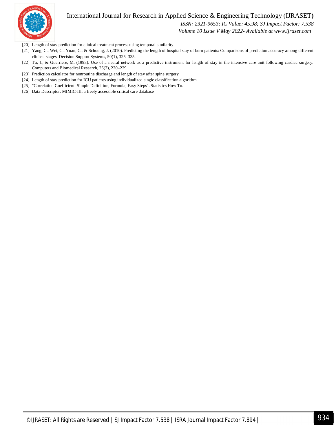

 *ISSN: 2321-9653; IC Value: 45.98; SJ Impact Factor: 7.538*

 *Volume 10 Issue V May 2022- Available at www.ijraset.com*

- [20] Length of stay prediction for clinical treatment process using temporal similarity
- [21] Yang, C., Wei, C., Yuan, C., & Schoung, J. (2010). Predicting the length of hospital stay of burn patients: Comparisons of prediction accuracy among different clinical stages. Decision Support Systems, 50(1), 325–335.
- [22] Tu, J., & Guerriere, M. (1993). Use of a neural network as a predictive instrument for length of stay in the intensive care unit following cardiac surgery. Computers and Biomedical Research, 26(3), 220–229
- [23] Prediction calculator for nonroutine discharge and length of stay after spine surgery
- [24] Length of stay prediction for ICU patients using individualized single classification algorithm
- [25] "Correlation Coefficient: Simple Definition, Formula, Easy Steps". Statistics How To.
- [26] Data Descriptor: MIMIC-III, a freely accessible critical care database